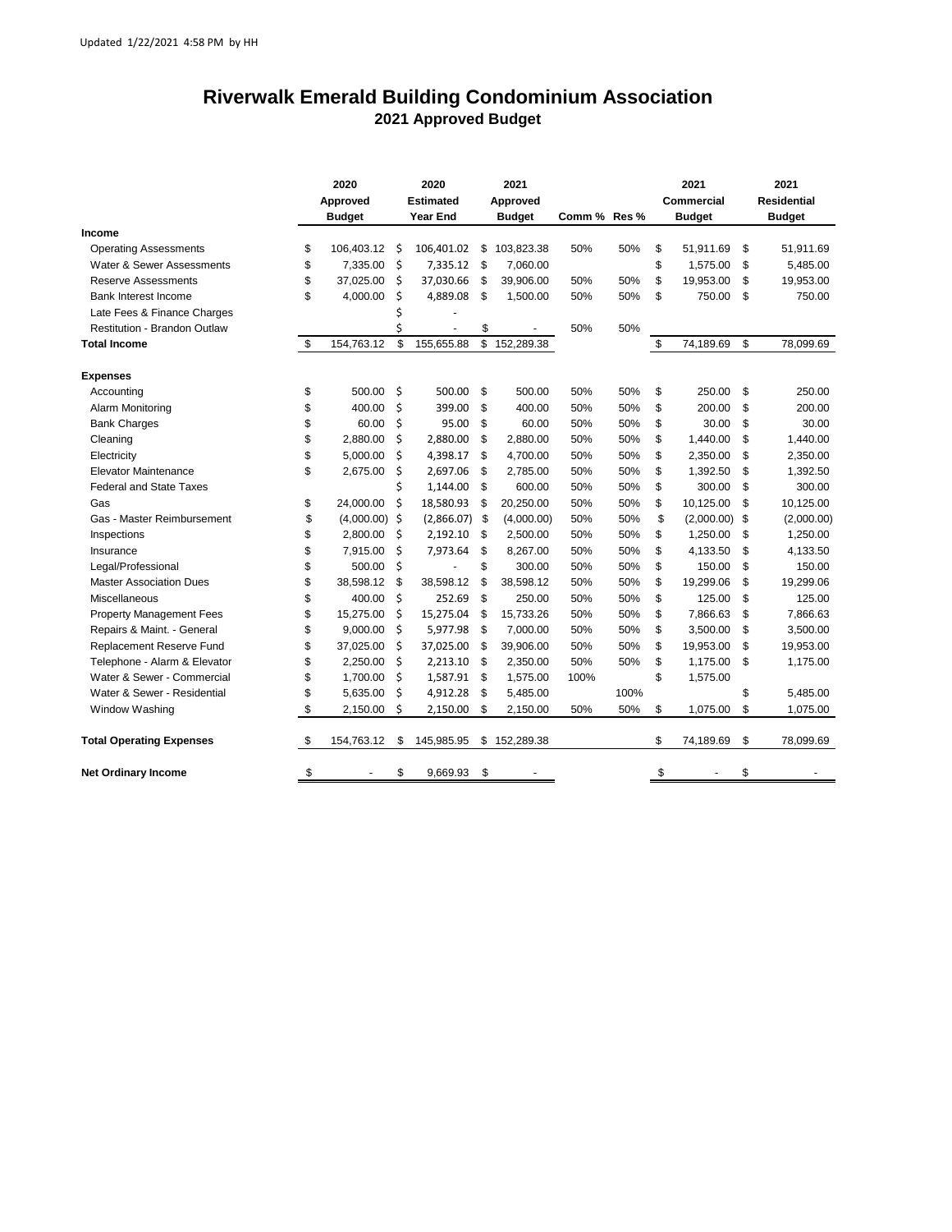## **Riverwalk Emerald Building Condominium Association 2021 Approved Budget**

|                                     | 2020<br>Approved<br><b>Budget</b> |            | 2020<br><b>Estimated</b><br><b>Year End</b> |            | 2021<br>Approved<br><b>Budget</b> |            | Comm % Res % |      | 2021<br><b>Commercial</b><br><b>Budget</b> |                 | 2021<br><b>Residential</b><br><b>Budget</b> |
|-------------------------------------|-----------------------------------|------------|---------------------------------------------|------------|-----------------------------------|------------|--------------|------|--------------------------------------------|-----------------|---------------------------------------------|
| Income                              |                                   |            |                                             |            |                                   |            |              |      |                                            |                 |                                             |
| <b>Operating Assessments</b>        | \$                                | 106,403.12 | Ś                                           | 106,401.02 | \$                                | 103,823.38 | 50%          | 50%  | \$                                         | 51,911.69       | \$<br>51,911.69                             |
| Water & Sewer Assessments           | \$                                | 7,335.00   | \$                                          | 7,335.12   | -\$                               | 7,060.00   |              |      | \$                                         | 1,575.00        | \$<br>5,485.00                              |
| <b>Reserve Assessments</b>          | \$                                | 37,025.00  | \$                                          | 37,030.66  | \$                                | 39,906.00  | 50%          | 50%  | \$                                         | 19,953.00       | \$<br>19,953.00                             |
| Bank Interest Income                | \$                                | 4,000.00   | \$                                          | 4,889.08   | \$                                | 1,500.00   | 50%          | 50%  | \$                                         | 750.00          | \$<br>750.00                                |
| Late Fees & Finance Charges         |                                   |            | \$                                          |            |                                   |            |              |      |                                            |                 |                                             |
| <b>Restitution - Brandon Outlaw</b> |                                   |            | \$                                          |            | \$                                |            | 50%          | 50%  |                                            |                 |                                             |
| <b>Total Income</b>                 | \$                                | 154,763.12 | \$                                          | 155,655.88 | \$                                | 152,289.38 |              |      | \$                                         | 74,189.69       | \$<br>78,099.69                             |
| <b>Expenses</b>                     |                                   |            |                                             |            |                                   |            |              |      |                                            |                 |                                             |
| Accounting                          | \$                                | 500.00     | \$                                          | 500.00     | \$                                | 500.00     | 50%          | 50%  | \$                                         | 250.00          | \$<br>250.00                                |
| Alarm Monitoring                    | \$                                | 400.00     | \$                                          | 399.00     | \$                                | 400.00     | 50%          | 50%  | \$                                         | 200.00          | \$<br>200.00                                |
| <b>Bank Charges</b>                 | \$                                | 60.00      | \$                                          | 95.00      | \$                                | 60.00      | 50%          | 50%  | \$                                         | 30.00           | \$<br>30.00                                 |
| Cleaning                            | \$                                | 2,880.00   | \$                                          | 2,880.00   | \$                                | 2,880.00   | 50%          | 50%  | \$                                         | 1,440.00        | \$<br>1,440.00                              |
| Electricity                         | \$                                | 5,000.00   | \$                                          | 4,398.17   | \$                                | 4,700.00   | 50%          | 50%  | \$                                         | 2,350.00        | \$<br>2,350.00                              |
| <b>Elevator Maintenance</b>         | \$                                | 2,675.00   | \$                                          | 2,697.06   | \$                                | 2,785.00   | 50%          | 50%  | \$                                         | 1,392.50        | \$<br>1,392.50                              |
| <b>Federal and State Taxes</b>      |                                   |            | \$                                          | 1,144.00   | \$                                | 600.00     | 50%          | 50%  | \$                                         | 300.00          | \$<br>300.00                                |
| Gas                                 | \$                                | 24,000.00  | Ś                                           | 18,580.93  | \$                                | 20,250.00  | 50%          | 50%  | \$                                         | 10,125.00       | \$<br>10,125.00                             |
| Gas - Master Reimbursement          | \$                                | (4,000.00) | Ŝ.                                          | (2,866.07) | \$                                | (4,000.00) | 50%          | 50%  | \$                                         | $(2,000.00)$ \$ | (2,000.00)                                  |
| Inspections                         | \$                                | 2,800.00   | \$                                          | 2,192.10   | \$                                | 2,500.00   | 50%          | 50%  | \$                                         | 1,250.00        | \$<br>1,250.00                              |
| Insurance                           | \$                                | 7,915.00   | \$                                          | 7,973.64   | \$                                | 8,267.00   | 50%          | 50%  | \$                                         | 4,133.50        | \$<br>4,133.50                              |
| Legal/Professional                  | \$                                | 500.00     | \$                                          |            | \$                                | 300.00     | 50%          | 50%  | \$                                         | 150.00          | \$<br>150.00                                |
| <b>Master Association Dues</b>      | \$                                | 38,598.12  | \$                                          | 38,598.12  | \$                                | 38,598.12  | 50%          | 50%  | \$                                         | 19,299.06       | \$<br>19,299.06                             |
| Miscellaneous                       | \$                                | 400.00     | \$                                          | 252.69     | \$                                | 250.00     | 50%          | 50%  | \$                                         | 125.00          | \$<br>125.00                                |
| <b>Property Management Fees</b>     | \$                                | 15,275.00  | \$                                          | 15,275.04  | \$                                | 15,733.26  | 50%          | 50%  | \$                                         | 7,866.63        | \$<br>7,866.63                              |
| Repairs & Maint. - General          | \$                                | 9,000.00   | \$                                          | 5,977.98   | \$                                | 7,000.00   | 50%          | 50%  | \$                                         | 3,500.00        | \$<br>3,500.00                              |
| Replacement Reserve Fund            | \$                                | 37,025.00  | \$                                          | 37,025.00  | \$                                | 39,906.00  | 50%          | 50%  | \$                                         | 19,953.00       | \$<br>19,953.00                             |
| Telephone - Alarm & Elevator        | \$                                | 2,250.00   | \$                                          | 2,213.10   | \$                                | 2,350.00   | 50%          | 50%  | \$                                         | 1,175.00        | \$<br>1,175.00                              |
| Water & Sewer - Commercial          | \$                                | 1,700.00   | \$                                          | 1,587.91   | \$                                | 1,575.00   | 100%         |      | \$                                         | 1,575.00        |                                             |
| Water & Sewer - Residential         | \$                                | 5,635.00   | \$                                          | 4,912.28   | \$                                | 5,485.00   |              | 100% |                                            |                 | \$<br>5,485.00                              |
| Window Washing                      | \$                                | 2,150.00   | \$                                          | 2,150.00   | \$                                | 2,150.00   | 50%          | 50%  | \$                                         | 1,075.00        | \$<br>1,075.00                              |
| <b>Total Operating Expenses</b>     | \$                                | 154,763.12 | \$                                          | 145,985.95 | \$                                | 152,289.38 |              |      | \$                                         | 74,189.69       | \$<br>78,099.69                             |
| <b>Net Ordinary Income</b>          | \$                                |            | \$                                          | 9,669.93   | \$                                |            |              |      | \$                                         |                 | \$                                          |